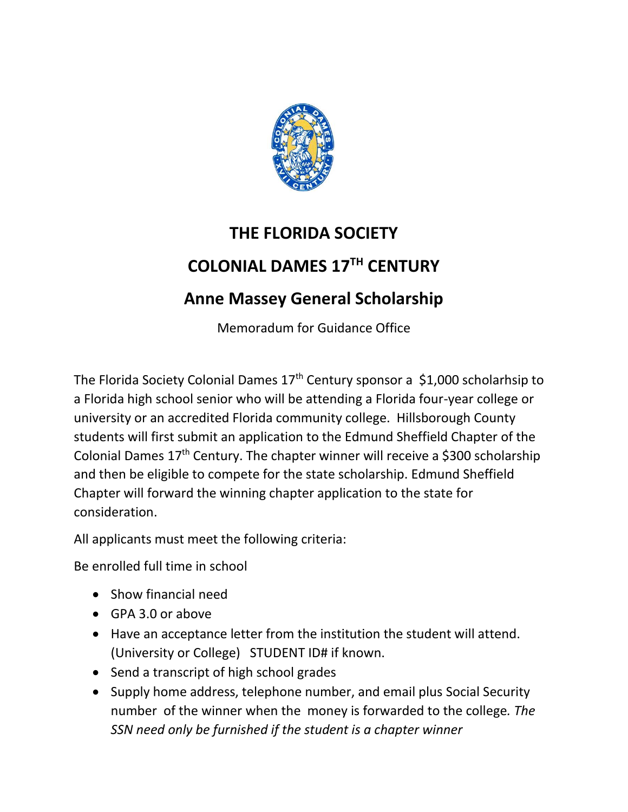

## **THE FLORIDA SOCIETY COLONIAL DAMES 17TH CENTURY Anne Massey General Scholarship**

Memoradum for Guidance Office

The Florida Society Colonial Dames  $17<sup>th</sup>$  Century sponsor a \$1,000 scholarhsip to a Florida high school senior who will be attending a Florida four-year college or university or an accredited Florida community college. Hillsborough County students will first submit an application to the Edmund Sheffield Chapter of the Colonial Dames  $17<sup>th</sup>$  Century. The chapter winner will receive a \$300 scholarship and then be eligible to compete for the state scholarship. Edmund Sheffield Chapter will forward the winning chapter application to the state for consideration.

All applicants must meet the following criteria:

Be enrolled full time in school

- Show financial need
- GPA 3.0 or above
- Have an acceptance letter from the institution the student will attend. (University or College) STUDENT ID# if known.
- Send a transcript of high school grades
- Supply home address, telephone number, and email plus Social Security number of the winner when the money is forwarded to the college*. The SSN need only be furnished if the student is a chapter winner*